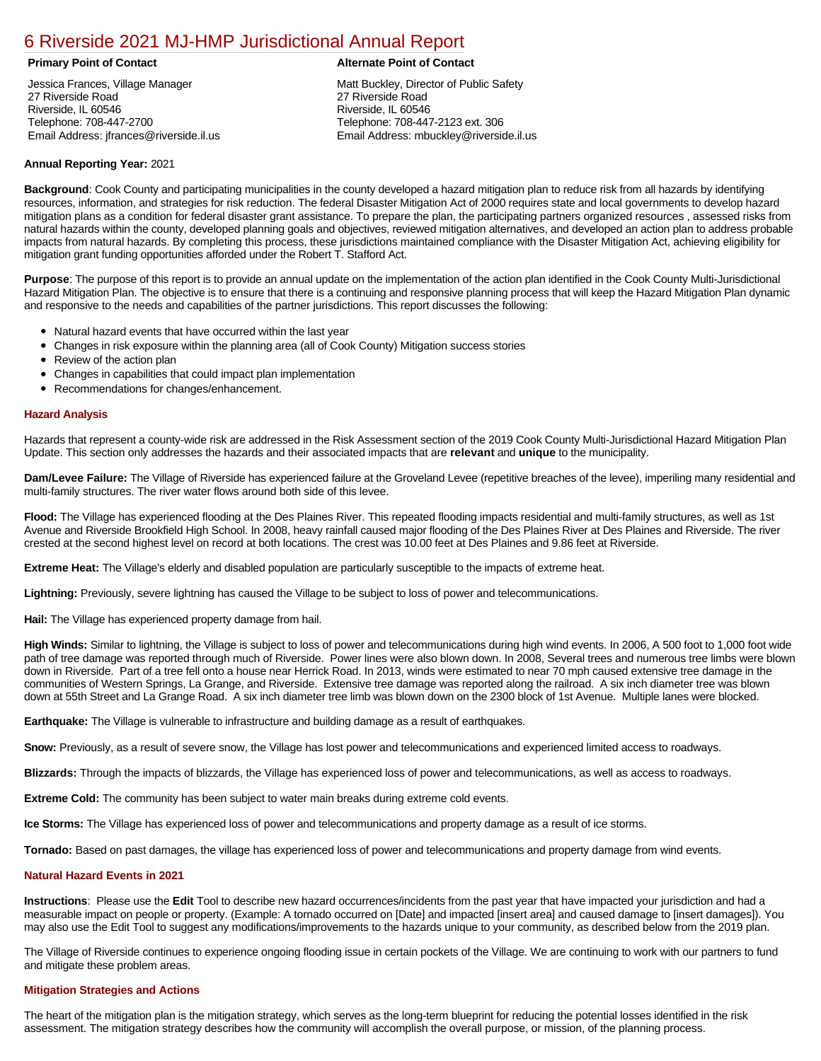# [6 Riverside 2021 MJ-HMP Jurisdictional Annual Report](https://riverside.isc-cemp.com/Cemp/Details?id=8322874)

Jessica Frances, Village Manager 27 Riverside Road Riverside, IL 60546 Telephone: 708-447-2700 Email Address: jfrances@riverside.il.us

#### **Primary Point of Contact Alternate Point of Contact**

Matt Buckley, Director of Public Safety 27 Riverside Road Riverside, IL 60546 Telephone: 708-447-2123 ext. 306 Email Address: mbuckley@riverside.il.us

## **Annual Reporting Year:** 2021

**Background**: Cook County and participating municipalities in the county developed a hazard mitigation plan to reduce risk from all hazards by identifying resources, information, and strategies for risk reduction. The federal Disaster Mitigation Act of 2000 requires state and local governments to develop hazard mitigation plans as a condition for federal disaster grant assistance. To prepare the plan, the participating partners organized resources , assessed risks from natural hazards within the county, developed planning goals and objectives, reviewed mitigation alternatives, and developed an action plan to address probable impacts from natural hazards. By completing this process, these jurisdictions maintained compliance with the Disaster Mitigation Act, achieving eligibility for mitigation grant funding opportunities afforded under the Robert T. Stafford Act.

**Purpose**: The purpose of this report is to provide an annual update on the implementation of the action plan identified in the Cook County Multi-Jurisdictional Hazard Mitigation Plan. The objective is to ensure that there is a continuing and responsive planning process that will keep the Hazard Mitigation Plan dynamic and responsive to the needs and capabilities of the partner jurisdictions. This report discusses the following:

- Natural hazard events that have occurred within the last year
- $\bullet$ Changes in risk exposure within the planning area (all of Cook County) Mitigation success stories
- Review of the action plan  $\bullet$
- $\bullet$ Changes in capabilities that could impact plan implementation
- Recommendations for changes/enhancement.

## **Hazard Analysis**

Hazards that represent a county-wide risk are addressed in the Risk Assessment section of the 2019 Cook County Multi-Jurisdictional Hazard Mitigation Plan Update. This section only addresses the hazards and their associated impacts that are **relevant** and **unique** to the municipality.

**Dam/Levee Failure:** The Village of Riverside has experienced failure at the Groveland Levee (repetitive breaches of the levee), imperiling many residential and multi-family structures. The river water flows around both side of this levee.

**Flood:** The Village has experienced flooding at the Des Plaines River. This repeated flooding impacts residential and multi-family structures, as well as 1st Avenue and Riverside Brookfield High School. In 2008, heavy rainfall caused major flooding of the Des Plaines River at Des Plaines and Riverside. The river crested at the second highest level on record at both locations. The crest was 10.00 feet at Des Plaines and 9.86 feet at Riverside.

**Extreme Heat:** The Village's elderly and disabled population are particularly susceptible to the impacts of extreme heat.

**Lightning:** Previously, severe lightning has caused the Village to be subject to loss of power and telecommunications.

**Hail:** The Village has experienced property damage from hail.

**High Winds:** Similar to lightning, the Village is subject to loss of power and telecommunications during high wind events. In 2006, A 500 foot to 1,000 foot wide path of tree damage was reported through much of Riverside. Power lines were also blown down. In 2008, Several trees and numerous tree limbs were blown down in Riverside. Part of a tree fell onto a house near Herrick Road. In 2013, winds were estimated to near 70 mph caused extensive tree damage in the communities of Western Springs, La Grange, and Riverside. Extensive tree damage was reported along the railroad. A six inch diameter tree was blown down at 55th Street and La Grange Road. A six inch diameter tree limb was blown down on the 2300 block of 1st Avenue. Multiple lanes were blocked.

**Earthquake:** The Village is vulnerable to infrastructure and building damage as a result of earthquakes.

**Snow:** Previously, as a result of severe snow, the Village has lost power and telecommunications and experienced limited access to roadways.

**Blizzards:** Through the impacts of blizzards, the Village has experienced loss of power and telecommunications, as well as access to roadways.

**Extreme Cold:** The community has been subject to water main breaks during extreme cold events.

**Ice Storms:** The Village has experienced loss of power and telecommunications and property damage as a result of ice storms.

**Tornado:** Based on past damages, the village has experienced loss of power and telecommunications and property damage from wind events.

# **Natural Hazard Events in 2021**

**Instructions**: Please use the **Edit** Tool to describe new hazard occurrences/incidents from the past year that have impacted your jurisdiction and had a measurable impact on people or property. (Example: A tornado occurred on [Date] and impacted [insert area] and caused damage to [insert damages]). You may also use the Edit Tool to suggest any modifications/improvements to the hazards unique to your community, as described below from the 2019 plan.

The Village of Riverside continues to experience ongoing flooding issue in certain pockets of the Village. We are continuing to work with our partners to fund and mitigate these problem areas.

#### **Mitigation Strategies and Actions**

The heart of the mitigation plan is the mitigation strategy, which serves as the long-term blueprint for reducing the potential losses identified in the risk assessment. The mitigation strategy describes how the community will accomplish the overall purpose, or mission, of the planning process.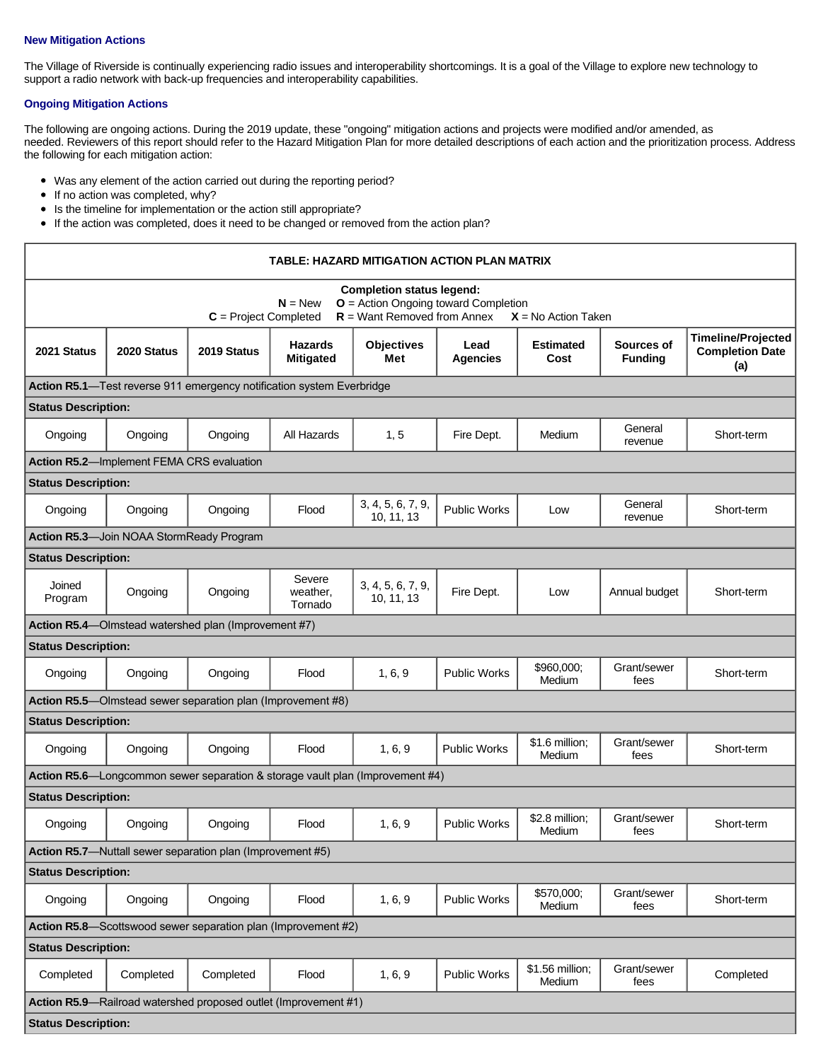#### **New Mitigation Actions**

The Village of Riverside is continually experiencing radio issues and interoperability shortcomings. It is a goal of the Village to explore new technology to support a radio network with back-up frequencies and interoperability capabilities.

# **Ongoing Mitigation Actions**

The following are ongoing actions. During the 2019 update, these "ongoing" mitigation actions and projects were modified and/or amended, as needed. Reviewers of this report should refer to the Hazard Mitigation Plan for more detailed descriptions of each action and the prioritization process. Address the following for each mitigation action:

- Was any element of the action carried out during the reporting period?
- $\bullet$  If no action was completed, why?
- Is the timeline for implementation or the action still appropriate?
- If the action was completed, does it need to be changed or removed from the action plan?

| TABLE: HAZARD MITIGATION ACTION PLAN MATRIX                                                                                                                                  |                                           |                                                               |                                    |                                 |                         |                           |                              |                                                            |  |
|------------------------------------------------------------------------------------------------------------------------------------------------------------------------------|-------------------------------------------|---------------------------------------------------------------|------------------------------------|---------------------------------|-------------------------|---------------------------|------------------------------|------------------------------------------------------------|--|
| <b>Completion status legend:</b><br>$O =$ Action Ongoing toward Completion<br>$N = New$<br>$R =$ Want Removed from Annex<br>$C = Project Completed$<br>$X = No$ Action Taken |                                           |                                                               |                                    |                                 |                         |                           |                              |                                                            |  |
| 2021 Status                                                                                                                                                                  | 2020 Status                               | 2019 Status                                                   | <b>Hazards</b><br><b>Mitigated</b> | <b>Objectives</b><br>Met        | Lead<br><b>Agencies</b> | <b>Estimated</b><br>Cost  | Sources of<br><b>Funding</b> | <b>Timeline/Projected</b><br><b>Completion Date</b><br>(a) |  |
| Action R5.1-Test reverse 911 emergency notification system Everbridge                                                                                                        |                                           |                                                               |                                    |                                 |                         |                           |                              |                                                            |  |
| <b>Status Description:</b>                                                                                                                                                   |                                           |                                                               |                                    |                                 |                         |                           |                              |                                                            |  |
| Ongoing                                                                                                                                                                      | Ongoing                                   | Ongoing                                                       | All Hazards                        | 1, 5                            | Fire Dept.              | Medium                    | General<br>revenue           | Short-term                                                 |  |
|                                                                                                                                                                              | Action R5.2-Implement FEMA CRS evaluation |                                                               |                                    |                                 |                         |                           |                              |                                                            |  |
| <b>Status Description:</b>                                                                                                                                                   |                                           |                                                               |                                    |                                 |                         |                           |                              |                                                            |  |
| Ongoing                                                                                                                                                                      | Ongoing                                   | Ongoing                                                       | Flood                              | 3, 4, 5, 6, 7, 9,<br>10, 11, 13 | <b>Public Works</b>     | Low                       | General<br>revenue           | Short-term                                                 |  |
| Action R5.3-Join NOAA StormReady Program                                                                                                                                     |                                           |                                                               |                                    |                                 |                         |                           |                              |                                                            |  |
| <b>Status Description:</b>                                                                                                                                                   |                                           |                                                               |                                    |                                 |                         |                           |                              |                                                            |  |
| Joined<br>Program                                                                                                                                                            | Ongoing                                   | Ongoing                                                       | Severe<br>weather.<br>Tornado      | 3, 4, 5, 6, 7, 9,<br>10, 11, 13 | Fire Dept.              | Low                       | Annual budget                | Short-term                                                 |  |
|                                                                                                                                                                              |                                           | Action R5.4-Olmstead watershed plan (Improvement #7)          |                                    |                                 |                         |                           |                              |                                                            |  |
| <b>Status Description:</b>                                                                                                                                                   |                                           |                                                               |                                    |                                 |                         |                           |                              |                                                            |  |
| Ongoing                                                                                                                                                                      | Ongoing                                   | Ongoing                                                       | Flood                              | 1, 6, 9                         | <b>Public Works</b>     | \$960,000:<br>Medium      | Grant/sewer<br>fees          | Short-term                                                 |  |
|                                                                                                                                                                              |                                           | Action R5.5-Olmstead sewer separation plan (Improvement #8)   |                                    |                                 |                         |                           |                              |                                                            |  |
| <b>Status Description:</b>                                                                                                                                                   |                                           |                                                               |                                    |                                 |                         |                           |                              |                                                            |  |
| Ongoing                                                                                                                                                                      | Ongoing                                   | Ongoing                                                       | Flood                              | 1, 6, 9                         | <b>Public Works</b>     | \$1.6 million:<br>Medium  | Grant/sewer<br>fees          | Short-term                                                 |  |
| <b>Action R5.6</b> —Longcommon sewer separation & storage vault plan (Improvement #4)                                                                                        |                                           |                                                               |                                    |                                 |                         |                           |                              |                                                            |  |
| <b>Status Description:</b>                                                                                                                                                   |                                           |                                                               |                                    |                                 |                         |                           |                              |                                                            |  |
| Ongoing                                                                                                                                                                      | Ongoing                                   | Ongoing                                                       | Flood                              | 1, 6, 9                         | <b>Public Works</b>     | \$2.8 million;<br>Medium  | Grant/sewer<br>fees          | Short-term                                                 |  |
| Action R5.7-Nuttall sewer separation plan (Improvement #5)                                                                                                                   |                                           |                                                               |                                    |                                 |                         |                           |                              |                                                            |  |
| <b>Status Description:</b>                                                                                                                                                   |                                           |                                                               |                                    |                                 |                         |                           |                              |                                                            |  |
| Ongoing                                                                                                                                                                      | Ongoing                                   | Ongoing                                                       | Flood                              | 1, 6, 9                         | Public Works            | \$570,000;<br>Medium      | Grant/sewer<br>fees          | Short-term                                                 |  |
|                                                                                                                                                                              |                                           | Action R5.8-Scottswood sewer separation plan (Improvement #2) |                                    |                                 |                         |                           |                              |                                                            |  |
| <b>Status Description:</b>                                                                                                                                                   |                                           |                                                               |                                    |                                 |                         |                           |                              |                                                            |  |
| Completed                                                                                                                                                                    | Completed                                 | Completed                                                     | Flood                              | 1, 6, 9                         | Public Works            | \$1.56 million;<br>Medium | Grant/sewer<br>fees          | Completed                                                  |  |
| Action R5.9-Railroad watershed proposed outlet (Improvement #1)                                                                                                              |                                           |                                                               |                                    |                                 |                         |                           |                              |                                                            |  |
| <b>Status Description:</b>                                                                                                                                                   |                                           |                                                               |                                    |                                 |                         |                           |                              |                                                            |  |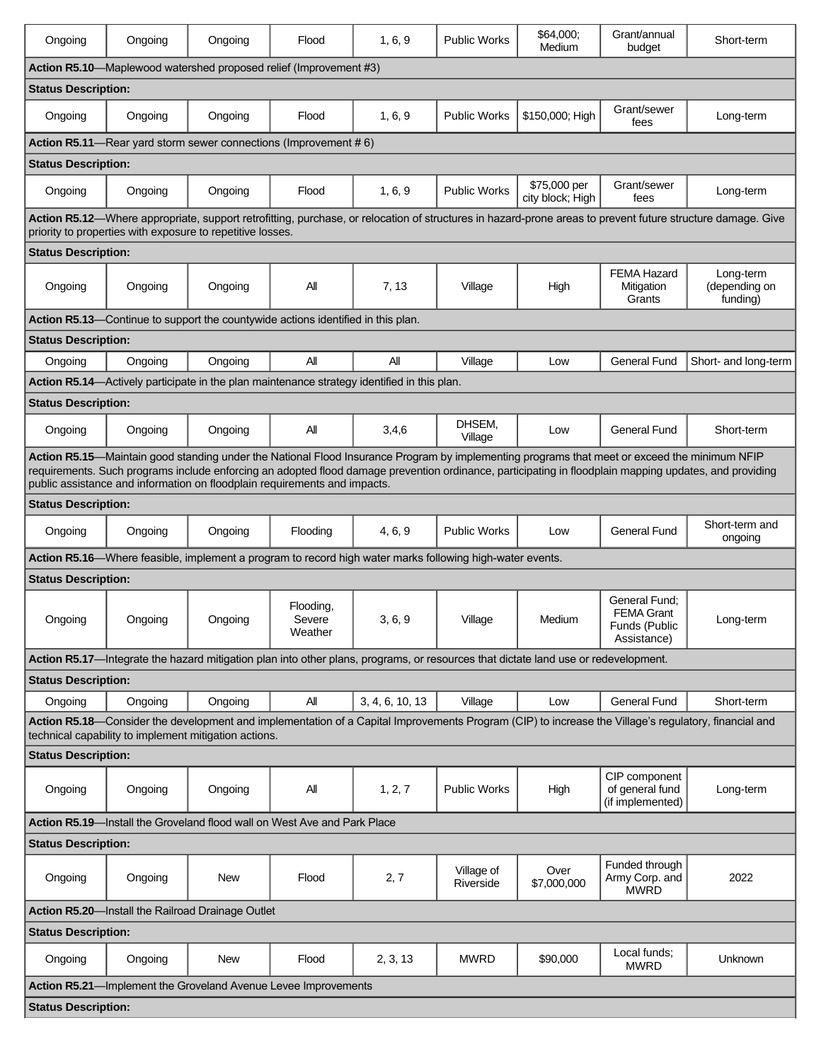| Ongoing                                                                                                                                                                                                                                                                                                                                                                             | Ongoing | Ongoing                                                                          | Flood                          | 1, 6, 9                                                                                                  | <b>Public Works</b>     | \$64,000:<br>Medium              | Grant/annual<br>budget                                             | Short-term                                                                                                                                                 |
|-------------------------------------------------------------------------------------------------------------------------------------------------------------------------------------------------------------------------------------------------------------------------------------------------------------------------------------------------------------------------------------|---------|----------------------------------------------------------------------------------|--------------------------------|----------------------------------------------------------------------------------------------------------|-------------------------|----------------------------------|--------------------------------------------------------------------|------------------------------------------------------------------------------------------------------------------------------------------------------------|
| Action R5.10-Maplewood watershed proposed relief (Improvement #3)                                                                                                                                                                                                                                                                                                                   |         |                                                                                  |                                |                                                                                                          |                         |                                  |                                                                    |                                                                                                                                                            |
| <b>Status Description:</b>                                                                                                                                                                                                                                                                                                                                                          |         |                                                                                  |                                |                                                                                                          |                         |                                  |                                                                    |                                                                                                                                                            |
| Ongoing                                                                                                                                                                                                                                                                                                                                                                             | Ongoing | Ongoing                                                                          | Flood                          | 1, 6, 9                                                                                                  | <b>Public Works</b>     | \$150,000; High                  | Grant/sewer<br>fees                                                | Long-term                                                                                                                                                  |
|                                                                                                                                                                                                                                                                                                                                                                                     |         | Action R5.11-Rear yard storm sewer connections (Improvement #6)                  |                                |                                                                                                          |                         |                                  |                                                                    |                                                                                                                                                            |
| <b>Status Description:</b>                                                                                                                                                                                                                                                                                                                                                          |         |                                                                                  |                                |                                                                                                          |                         |                                  |                                                                    |                                                                                                                                                            |
| Ongoing                                                                                                                                                                                                                                                                                                                                                                             | Ongoing | Ongoing                                                                          | Flood                          | 1, 6, 9                                                                                                  | <b>Public Works</b>     | \$75,000 per<br>city block; High | Grant/sewer<br>fees                                                | Long-term                                                                                                                                                  |
|                                                                                                                                                                                                                                                                                                                                                                                     |         |                                                                                  |                                |                                                                                                          |                         |                                  |                                                                    | Action R5.12-Where appropriate, support retrofitting, purchase, or relocation of structures in hazard-prone areas to prevent future structure damage. Give |
| <b>Status Description:</b>                                                                                                                                                                                                                                                                                                                                                          |         | priority to properties with exposure to repetitive losses.                       |                                |                                                                                                          |                         |                                  |                                                                    |                                                                                                                                                            |
|                                                                                                                                                                                                                                                                                                                                                                                     |         |                                                                                  |                                |                                                                                                          |                         |                                  | <b>FEMA Hazard</b>                                                 | Long-term                                                                                                                                                  |
| Ongoing                                                                                                                                                                                                                                                                                                                                                                             | Ongoing | Ongoing                                                                          | Αll                            | 7, 13                                                                                                    | Village                 | High                             | Mitigation<br>Grants                                               | (depending on<br>funding)                                                                                                                                  |
|                                                                                                                                                                                                                                                                                                                                                                                     |         | Action R5.13-Continue to support the countywide actions identified in this plan. |                                |                                                                                                          |                         |                                  |                                                                    |                                                                                                                                                            |
| <b>Status Description:</b>                                                                                                                                                                                                                                                                                                                                                          |         |                                                                                  |                                |                                                                                                          |                         |                                  |                                                                    |                                                                                                                                                            |
| Ongoing                                                                                                                                                                                                                                                                                                                                                                             | Ongoing | Ongoing                                                                          | All                            | All                                                                                                      | Village                 | Low                              | <b>General Fund</b>                                                | Short- and long-term                                                                                                                                       |
|                                                                                                                                                                                                                                                                                                                                                                                     |         |                                                                                  |                                | Action R5.14—Actively participate in the plan maintenance strategy identified in this plan.              |                         |                                  |                                                                    |                                                                                                                                                            |
| <b>Status Description:</b>                                                                                                                                                                                                                                                                                                                                                          |         |                                                                                  |                                |                                                                                                          |                         |                                  |                                                                    |                                                                                                                                                            |
| Ongoing                                                                                                                                                                                                                                                                                                                                                                             | Ongoing | Ongoing                                                                          | All                            | 3,4,6                                                                                                    | DHSEM,<br>Village       | Low                              | <b>General Fund</b>                                                | Short-term                                                                                                                                                 |
| Action R5.15-Maintain good standing under the National Flood Insurance Program by implementing programs that meet or exceed the minimum NFIP<br>requirements. Such programs include enforcing an adopted flood damage prevention ordinance, participating in floodplain mapping updates, and providing<br>public assistance and information on floodplain requirements and impacts. |         |                                                                                  |                                |                                                                                                          |                         |                                  |                                                                    |                                                                                                                                                            |
| <b>Status Description:</b>                                                                                                                                                                                                                                                                                                                                                          |         |                                                                                  |                                |                                                                                                          |                         |                                  |                                                                    |                                                                                                                                                            |
| Ongoing                                                                                                                                                                                                                                                                                                                                                                             | Ongoing | Ongoing                                                                          | Flooding                       | 4, 6, 9                                                                                                  | <b>Public Works</b>     | Low                              | <b>General Fund</b>                                                | Short-term and<br>ongoing                                                                                                                                  |
|                                                                                                                                                                                                                                                                                                                                                                                     |         |                                                                                  |                                | Action R5.16—Where feasible, implement a program to record high water marks following high-water events. |                         |                                  |                                                                    |                                                                                                                                                            |
| <b>Status Description:</b>                                                                                                                                                                                                                                                                                                                                                          |         |                                                                                  |                                |                                                                                                          |                         |                                  |                                                                    |                                                                                                                                                            |
| Ongoing                                                                                                                                                                                                                                                                                                                                                                             | Ongoing | Ongoing                                                                          | Flooding,<br>Severe<br>Weather | 3, 6, 9                                                                                                  | Village                 | Medium                           | General Fund;<br><b>FEMA Grant</b><br>Funds (Public<br>Assistance) | Long-term                                                                                                                                                  |
| Action R5.17-Integrate the hazard mitigation plan into other plans, programs, or resources that dictate land use or redevelopment.                                                                                                                                                                                                                                                  |         |                                                                                  |                                |                                                                                                          |                         |                                  |                                                                    |                                                                                                                                                            |
| <b>Status Description:</b>                                                                                                                                                                                                                                                                                                                                                          |         |                                                                                  |                                |                                                                                                          |                         |                                  |                                                                    |                                                                                                                                                            |
| Ongoing                                                                                                                                                                                                                                                                                                                                                                             | Ongoing | Ongoing                                                                          | All                            | 3, 4, 6, 10, 13                                                                                          | Village                 | Low                              | <b>General Fund</b>                                                | Short-term                                                                                                                                                 |
| Action R5.18—Consider the development and implementation of a Capital Improvements Program (CIP) to increase the Village's regulatory, financial and<br>technical capability to implement mitigation actions.                                                                                                                                                                       |         |                                                                                  |                                |                                                                                                          |                         |                                  |                                                                    |                                                                                                                                                            |
| <b>Status Description:</b>                                                                                                                                                                                                                                                                                                                                                          |         |                                                                                  |                                |                                                                                                          |                         |                                  |                                                                    |                                                                                                                                                            |
| Ongoing                                                                                                                                                                                                                                                                                                                                                                             | Ongoing | Ongoing                                                                          | All                            | 1, 2, 7                                                                                                  | <b>Public Works</b>     | High                             | CIP component<br>of general fund<br>(if implemented)               | Long-term                                                                                                                                                  |
| Action R5.19-Install the Groveland flood wall on West Ave and Park Place                                                                                                                                                                                                                                                                                                            |         |                                                                                  |                                |                                                                                                          |                         |                                  |                                                                    |                                                                                                                                                            |
| <b>Status Description:</b>                                                                                                                                                                                                                                                                                                                                                          |         |                                                                                  |                                |                                                                                                          |                         |                                  |                                                                    |                                                                                                                                                            |
| Ongoing                                                                                                                                                                                                                                                                                                                                                                             | Ongoing | New                                                                              | Flood                          | 2, 7                                                                                                     | Village of<br>Riverside | Over<br>\$7,000,000              | Funded through<br>Army Corp. and<br><b>MWRD</b>                    | 2022                                                                                                                                                       |
| <b>Action R5.20</b> —Install the Railroad Drainage Outlet                                                                                                                                                                                                                                                                                                                           |         |                                                                                  |                                |                                                                                                          |                         |                                  |                                                                    |                                                                                                                                                            |
| <b>Status Description:</b>                                                                                                                                                                                                                                                                                                                                                          |         |                                                                                  |                                |                                                                                                          |                         |                                  |                                                                    |                                                                                                                                                            |
| Ongoing                                                                                                                                                                                                                                                                                                                                                                             | Ongoing | New                                                                              | Flood                          | 2, 3, 13                                                                                                 | <b>MWRD</b>             | \$90,000                         | Local funds;<br><b>MWRD</b>                                        | Unknown                                                                                                                                                    |
| Action R5.21-Implement the Groveland Avenue Levee Improvements                                                                                                                                                                                                                                                                                                                      |         |                                                                                  |                                |                                                                                                          |                         |                                  |                                                                    |                                                                                                                                                            |
| <b>Status Description:</b>                                                                                                                                                                                                                                                                                                                                                          |         |                                                                                  |                                |                                                                                                          |                         |                                  |                                                                    |                                                                                                                                                            |